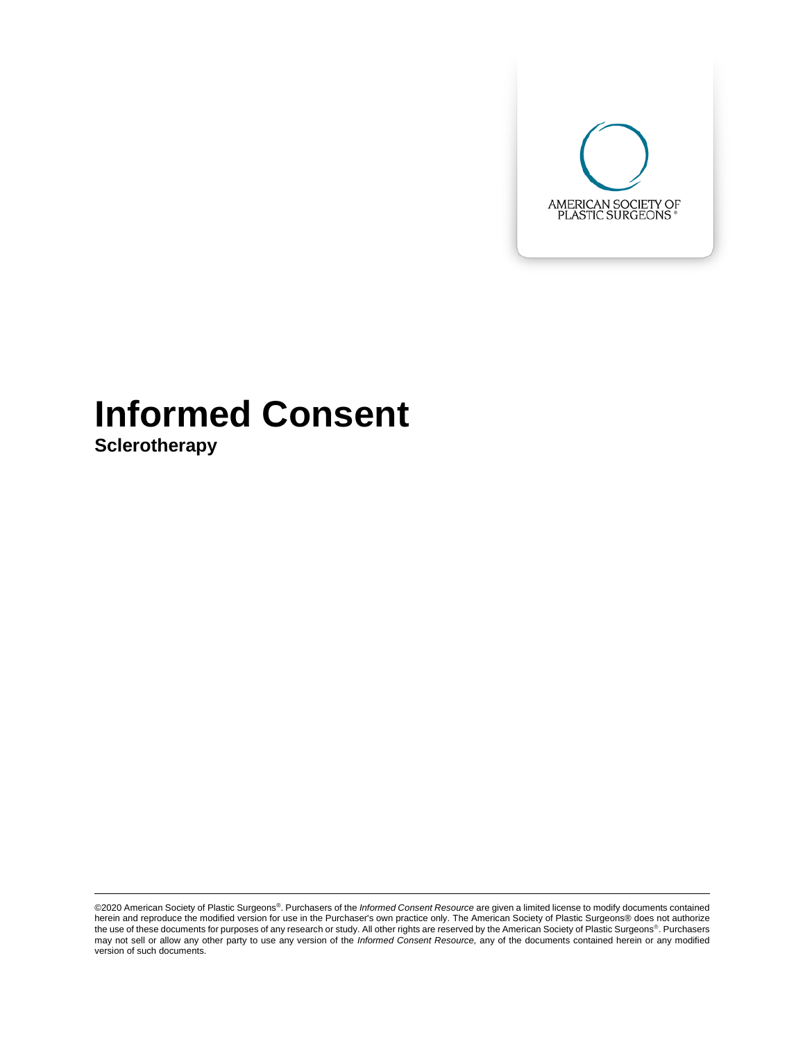

# **Informed Consent**

**Sclerotherapy**

©2020 American Society of Plastic Surgeons®. Purchasers of the *Informed Consent Resource* are given a limited license to modify documents contained herein and reproduce the modified version for use in the Purchaser's own practice only. The American Society of Plastic Surgeons® does not authorize<br>the use of these documents for purposes of any research or study. All oth may not sell or allow any other party to use any version of the *Informed Consent Resource,* any of the documents contained herein or any modified version of such documents.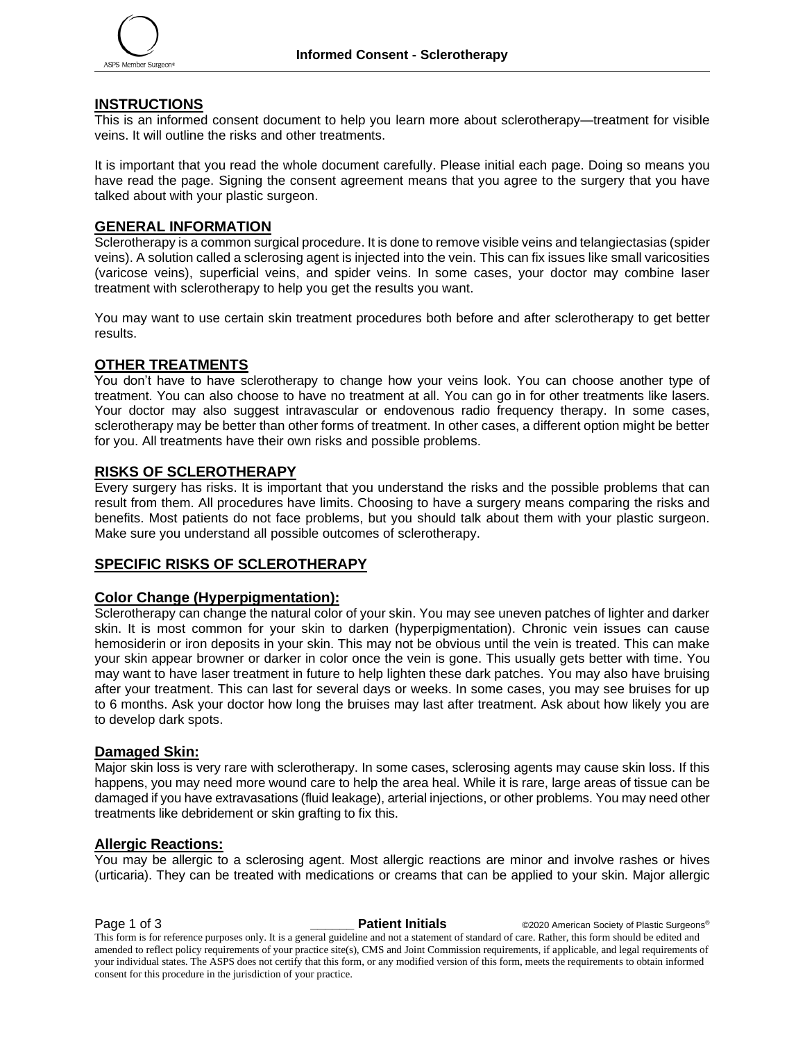

#### **INSTRUCTIONS**

This is an informed consent document to help you learn more about sclerotherapy—treatment for visible veins. It will outline the risks and other treatments.

It is important that you read the whole document carefully. Please initial each page. Doing so means you have read the page. Signing the consent agreement means that you agree to the surgery that you have talked about with your plastic surgeon.

#### **GENERAL INFORMATION**

Sclerotherapy is a common surgical procedure. It is done to remove visible veins and telangiectasias (spider veins). A solution called a sclerosing agent is injected into the vein. This can fix issues like small varicosities (varicose veins), superficial veins, and spider veins. In some cases, your doctor may combine laser treatment with sclerotherapy to help you get the results you want.

You may want to use certain skin treatment procedures both before and after sclerotherapy to get better results.

#### **OTHER TREATMENTS**

You don't have to have sclerotherapy to change how your veins look. You can choose another type of treatment. You can also choose to have no treatment at all. You can go in for other treatments like lasers. Your doctor may also suggest intravascular or endovenous radio frequency therapy. In some cases, sclerotherapy may be better than other forms of treatment. In other cases, a different option might be better for you. All treatments have their own risks and possible problems.

#### **RISKS OF SCLEROTHERAPY**

Every surgery has risks. It is important that you understand the risks and the possible problems that can result from them. All procedures have limits. Choosing to have a surgery means comparing the risks and benefits. Most patients do not face problems, but you should talk about them with your plastic surgeon. Make sure you understand all possible outcomes of sclerotherapy.

#### **SPECIFIC RISKS OF SCLEROTHERAPY**

#### **Color Change (Hyperpigmentation):**

Sclerotherapy can change the natural color of your skin. You may see uneven patches of lighter and darker skin. It is most common for your skin to darken (hyperpigmentation). Chronic vein issues can cause hemosiderin or iron deposits in your skin. This may not be obvious until the vein is treated. This can make your skin appear browner or darker in color once the vein is gone. This usually gets better with time. You may want to have laser treatment in future to help lighten these dark patches. You may also have bruising after your treatment. This can last for several days or weeks. In some cases, you may see bruises for up to 6 months. Ask your doctor how long the bruises may last after treatment. Ask about how likely you are to develop dark spots.

#### **Damaged Skin:**

Major skin loss is very rare with sclerotherapy. In some cases, sclerosing agents may cause skin loss. If this happens, you may need more wound care to help the area heal. While it is rare, large areas of tissue can be damaged if you have extravasations (fluid leakage), arterial injections, or other problems. You may need other treatments like debridement or skin grafting to fix this.

#### **Allergic Reactions:**

You may be allergic to a sclerosing agent. Most allergic reactions are minor and involve rashes or hives (urticaria). They can be treated with medications or creams that can be applied to your skin. Major allergic

**Page 1 of 3 Patient Initials** ©2020 American Society of Plastic Surgeons®

This form is for reference purposes only. It is a general guideline and not a statement of standard of care. Rather, this form should be edited and amended to reflect policy requirements of your practice site(s), CMS and Joint Commission requirements, if applicable, and legal requirements of your individual states. The ASPS does not certify that this form, or any modified version of this form, meets the requirements to obtain informed consent for this procedure in the jurisdiction of your practice.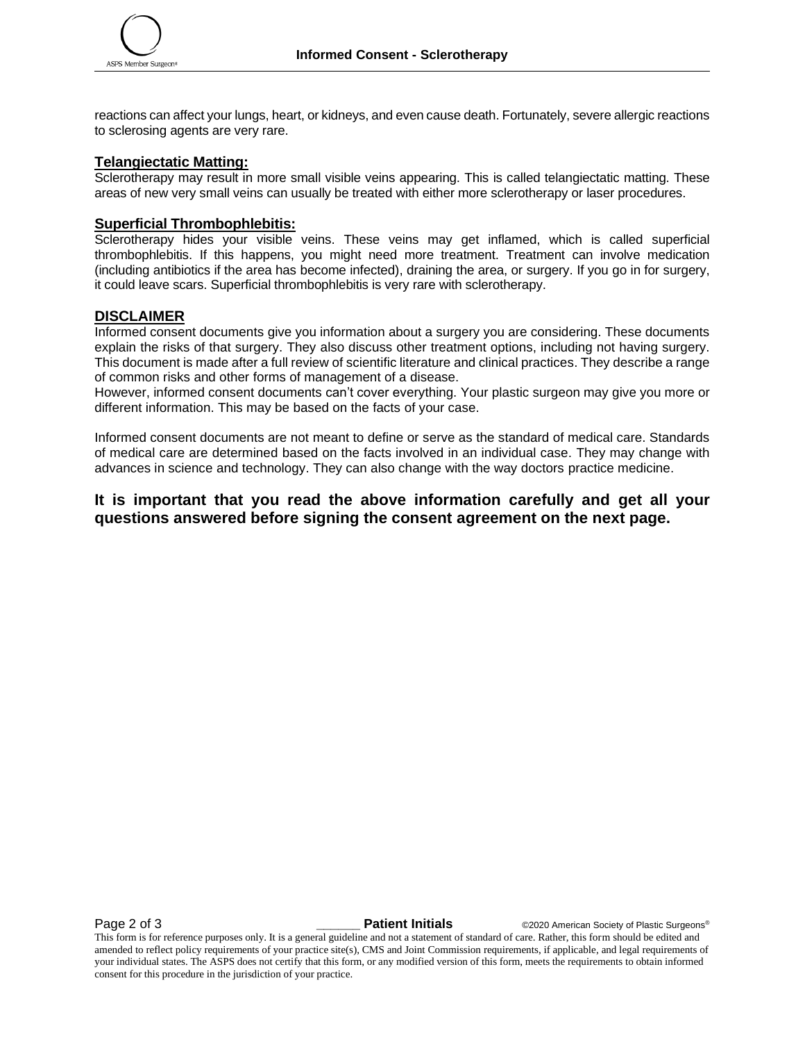reactions can affect your lungs, heart, or kidneys, and even cause death. Fortunately, severe allergic reactions to sclerosing agents are very rare.

#### **Telangiectatic Matting:**

Sclerotherapy may result in more small visible veins appearing. This is called telangiectatic matting. These areas of new very small veins can usually be treated with either more sclerotherapy or laser procedures.

#### **Superficial Thrombophlebitis:**

Sclerotherapy hides your visible veins. These veins may get inflamed, which is called superficial thrombophlebitis. If this happens, you might need more treatment. Treatment can involve medication (including antibiotics if the area has become infected), draining the area, or surgery. If you go in for surgery, it could leave scars. Superficial thrombophlebitis is very rare with sclerotherapy.

#### **DISCLAIMER**

Informed consent documents give you information about a surgery you are considering. These documents explain the risks of that surgery. They also discuss other treatment options, including not having surgery. This document is made after a full review of scientific literature and clinical practices. They describe a range of common risks and other forms of management of a disease.

However, informed consent documents can't cover everything. Your plastic surgeon may give you more or different information. This may be based on the facts of your case.

Informed consent documents are not meant to define or serve as the standard of medical care. Standards of medical care are determined based on the facts involved in an individual case. They may change with advances in science and technology. They can also change with the way doctors practice medicine.

### **It is important that you read the above information carefully and get all your questions answered before signing the consent agreement on the next page.**

**Page 2 of 3** *Patient Initials* **CO2020 American Society of Plastic Surgeons<sup>®</sup>** 

This form is for reference purposes only. It is a general guideline and not a statement of standard of care. Rather, this form should be edited and amended to reflect policy requirements of your practice site(s), CMS and Joint Commission requirements, if applicable, and legal requirements of your individual states. The ASPS does not certify that this form, or any modified version of this form, meets the requirements to obtain informed consent for this procedure in the jurisdiction of your practice.